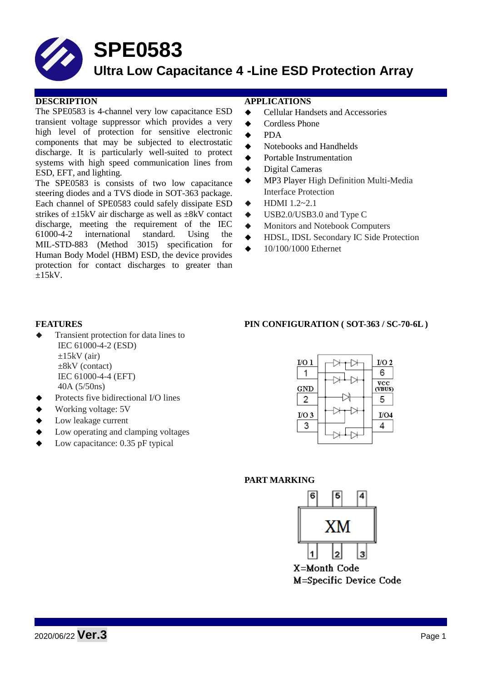

# **SPE0583**

## **Ultra Low Capacitance 4 -Line ESD Protection Array**

The SPE0583 is 4-channel very low capacitance ESD transient voltage suppressor which provides a very high level of protection for sensitive electronic components that may be subjected to electrostatic discharge. It is particularly well-suited to protect systems with high speed communication lines from ESD, EFT, and lighting.

The SPE0583 is consists of two low capacitance steering diodes and a TVS diode in SOT-363 package. Each channel of SPE0583 could safely dissipate ESD strikes of  $\pm 15kV$  air discharge as well as  $\pm 8kV$  contact discharge, meeting the requirement of the IEC 61000-4-2 international standard. Using the MIL-STD-883 (Method 3015) specification for Human Body Model (HBM) ESD, the device provides protection for contact discharges to greater than  $\pm 15kV$ .

#### **DESCRIPTION APPLICATIONS**

- Cellular Handsets and Accessories
- Cordless Phone
- PDA
- Notebooks and Handhelds
- Portable Instrumentation
- Digital Cameras
- MP3 Player High Definition Multi-Media Interface Protection
- HDMI 1.2~2.1
- $\blacklozenge$  USB2.0/USB3.0 and Type C
- Monitors and Notebook Computers
- HDSL, IDSL Secondary IC Side Protection
- 10/100/1000 Ethernet

- Transient protection for data lines to IEC 61000-4-2 (ESD)  $\pm 15$ kV (air) ±8kV (contact) IEC 61000-4-4 (EFT) 40A (5/50ns)
- Protects five bidirectional I/O lines
- Working voltage: 5V
- Low leakage current
- Low operating and clamping voltages
- Low capacitance: 0.35 pF typical

#### **FEATURES PIN CONFIGURATION ( SOT-363 / SC-70-6L )**



#### **PART MARKING**



X=Month Code M=Specific Device Code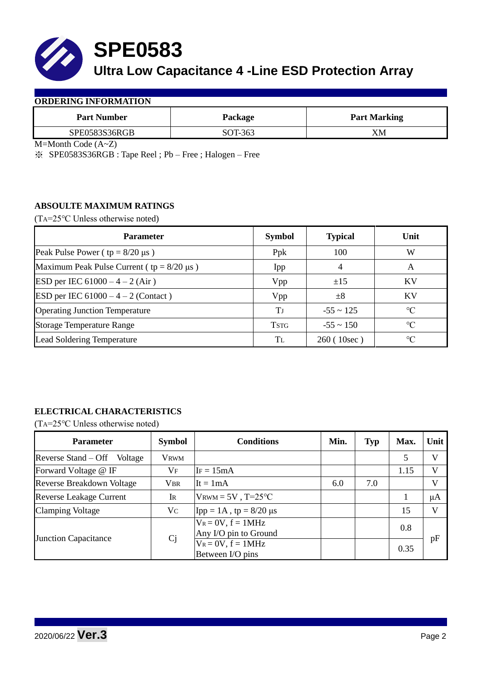

**SPE0583**

## **Ultra Low Capacitance 4 -Line ESD Protection Array**

#### **ORDERING INFORMATION**

| <b>Part Number</b>   | Package | <b>Part Marking</b> |
|----------------------|---------|---------------------|
| <b>SPE0583S36RGB</b> | SOT-363 | XM                  |

M=Month Code (A~Z)

※ SPE0583S36RGB : Tape Reel ; Pb – Free ; Halogen – Free

#### **ABSOULTE MAXIMUM RATINGS**

(TA=25℃ Unless otherwise noted)

| <b>Parameter</b>                                 | <b>Symbol</b> | <b>Typical</b> | Unit            |
|--------------------------------------------------|---------------|----------------|-----------------|
| Peak Pulse Power ( $tp = 8/20 \mu s$ )           | Ppk           | 100            | W               |
| Maximum Peak Pulse Current ( $tp = 8/20 \mu s$ ) | Ipp           |                | A               |
| ESD per IEC $61000 - 4 - 2$ (Air)                | Vpp           | ±15            | <b>KV</b>       |
| ESD per IEC $61000 - 4 - 2$ (Contact)            | Vpp           | $\pm 8$        | KV              |
| <b>Operating Junction Temperature</b>            | Tj            | $-55 \sim 125$ | $\rm ^{\circ}C$ |
| <b>Storage Temperature Range</b>                 | <b>TSTG</b>   | $-55 \sim 150$ | $\rm ^{\circ}C$ |
| Lead Soldering Temperature                       | Tī.           | 260(10sec)     | $\rm ^{\circ}C$ |

### **ELECTRICAL CHARACTERISTICS**

(TA=25℃ Unless otherwise noted)

| <b>Parameter</b>                 | <b>Symbol</b> | <b>Conditions</b>                                | Min. | <b>Typ</b> | Max. | Unit         |
|----------------------------------|---------------|--------------------------------------------------|------|------------|------|--------------|
| Reverse Stand – Off<br>Voltage   | <b>VRWM</b>   |                                                  |      |            | 5    | $\mathbf{V}$ |
| Forward Voltage @ IF             | $V_{\rm F}$   | $IF = 15mA$                                      |      |            | 1.15 | V            |
| <b>Reverse Breakdown Voltage</b> | <b>VBR</b>    | $It = 1mA$                                       | 6.0  | 7.0        |      | V            |
| <b>Reverse Leakage Current</b>   | <b>IR</b>     | $V_{\text{RWM}} = 5V$ , T=25°C                   |      |            |      | μA           |
| <b>Clamping Voltage</b>          | Vc            | $Ipp = 1A$ , tp = 8/20 μs                        |      |            | 15   | V            |
| <b>Junction Capacitance</b>      | Cj            | $V_R = 0V$ , $f = 1MHz$<br>Any I/O pin to Ground |      |            | 0.8  | pF           |
|                                  |               | $V_R = 0V$ , $f = 1MHz$<br>Between I/O pins      |      |            | 0.35 |              |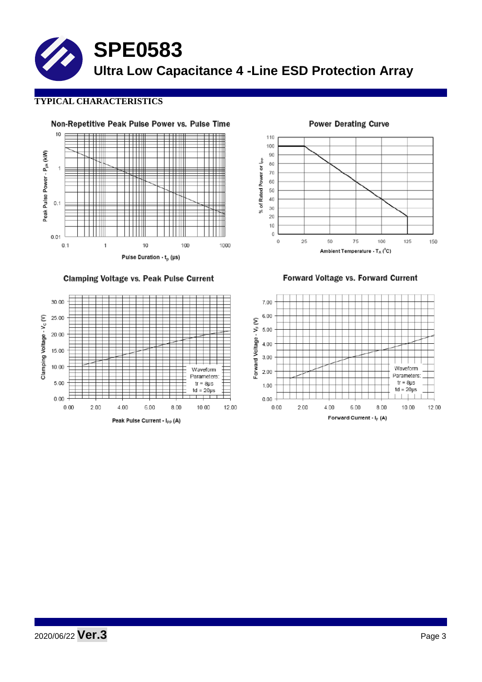**SPE0583 Ultra Low Capacitance 4 -Line ESD Protection Array**

### **TYPICAL CHARACTERISTICS**



**Clamping Voltage vs. Peak Pulse Current** 



110 100  $90^{\circ}$ % of Rated Power or lpp 80  $70$  $_{60}$ 50  $40\,$  $30\,$  $\overline{20}$  $10$  $\mathbf 0$ 25  $\mathbf 0$ 50 75 100 125 150 Ambient Temperature -  $T_A(^oC)$ 

**Power Derating Curve** 

Forward Voltage vs. Forward Current

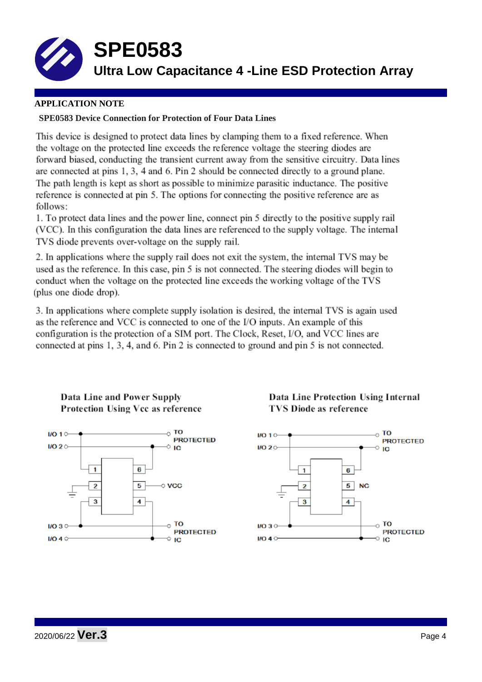

**SPE0583**

**Ultra Low Capacitance 4 -Line ESD Protection Array**

#### **APPLICATION NOTE**

#### **SPE0583 Device Connection for Protection of Four Data Lines**

This device is designed to protect data lines by clamping them to a fixed reference. When the voltage on the protected line exceeds the reference voltage the steering diodes are forward biased, conducting the transient current away from the sensitive circuitry. Data lines are connected at pins 1, 3, 4 and 6. Pin 2 should be connected directly to a ground plane. The path length is kept as short as possible to minimize parasitic inductance. The positive reference is connected at pin 5. The options for connecting the positive reference are as follows:

1. To protect data lines and the power line, connect pin 5 directly to the positive supply rail (VCC). In this configuration the data lines are referenced to the supply voltage. The internal TVS diode prevents over-voltage on the supply rail.

2. In applications where the supply rail does not exit the system, the internal TVS may be used as the reference. In this case, pin 5 is not connected. The steering diodes will begin to conduct when the voltage on the protected line exceeds the working voltage of the TVS (plus one diode drop).

3. In applications where complete supply isolation is desired, the internal TVS is again used as the reference and VCC is connected to one of the I/O inputs. An example of this configuration is the protection of a SIM port. The Clock, Reset, I/O, and VCC lines are connected at pins 1, 3, 4, and 6. Pin 2 is connected to ground and pin 5 is not connected.





Data Line Protection Using Internal **TVS Diode as reference** 

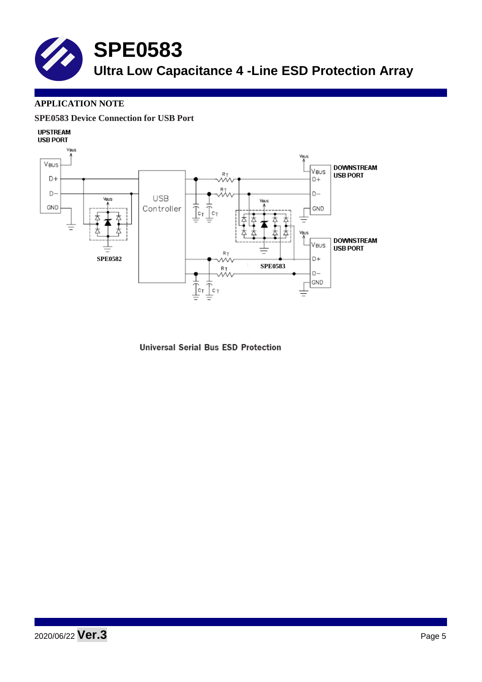

### **APPLICATION NOTE**

#### **SPE0583 Device Connection for USB Port**

**UPSTREAM USB PORT**